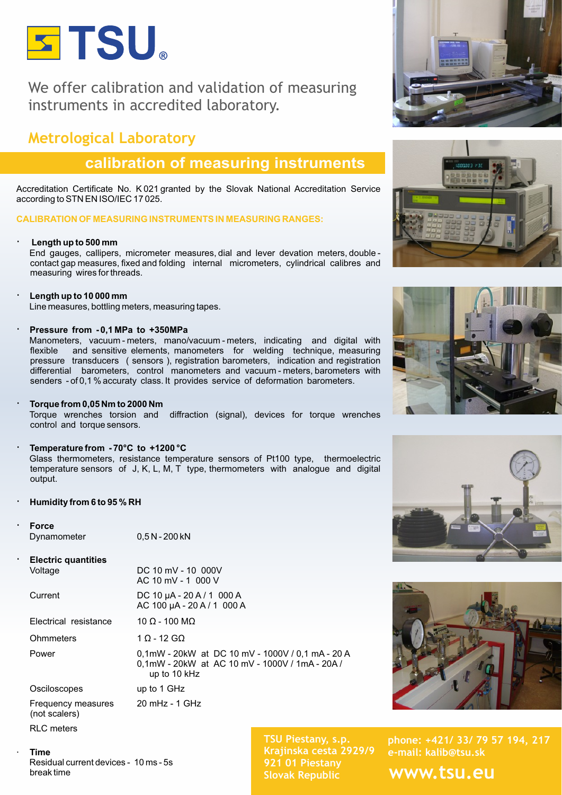

We offer calibration and validation of measuring instruments in accredited laboratory.

# **Metrological Laboratory**

## **calibration of measuring instruments**

Accreditation Certificate No. K 021 granted by the Slovak National Accreditation Service according to STN EN ISO/IEC 17 025.

### **CALIBRATION OF MEASURING INSTRUMENTS IN MEASURING RANGES:**

#### **Length up to 500 mm**

End gauges, callipers, micrometer measures, dial and lever devation meters, double contact gap measures, fixed and folding internal micrometers, cylindrical calibres and measuring wires for threads.

**Length up to 10 000 mm**

Line measures, bottling meters, measuring tapes.

**Pressure from - 0,1 MPa to +350MPa**  $\sim$ 

Manometers, vacuum - meters, mano/vacuum - meters, indicating and digital with flexible and sensitive elements, manometers for welding technique, measuring pressure transducers ( sensors ), registration barometers, indication and registration differential barometers, control manometers and vacuum - meters, barometers with senders - of 0,1 % accuraty class. It provides service of deformation barometers.

**Torque from 0,05 Nm to 2000 Nm**

Torque wrenches torsion and diffraction (signal), devices for torque wrenches control and torque sensors.

**Temperature from - 70°C to +1200 °C**

Glass thermometers, resistance temperature sensors of Pt100 type, thermoelectric temperature sensors of J, K, L, M, T type, thermometers with analogue and digital output.

**Humidity from 6 to 95 % RH**

| · Force     |                  |
|-------------|------------------|
| Dynamometer | $0,5 N - 200 kN$ |

**Electric quantities**

Voltage DC 10 mV - 10 000V

|  | AC 10 mV - 1 000 V |  |  |
|--|--------------------|--|--|

|                       | AC 100 µA - 20 A / 1 000 A      |  |
|-----------------------|---------------------------------|--|
| Electrical resistance | 10 $\Omega$ - 100 M $\Omega$    |  |
| Ohmmeters             | $1 \Omega - 12 \text{ G}\Omega$ |  |

Current DC 10 μA - 20 A / 1 000 A

Power 0,1mW - 20kW at DC 10 mV - 1000V / 0,1 mA - 20 A 0,1mW - 20kW at AC 10 mV - 1000V / 1mA - 20A / up to 10 kHz Osciloscopes up to 1 GHz

Frequency measures 20 mHz - 1 GHz (not scalers)

RLC meters

**Time** Residual current devices - 10 ms - 5s break time

**TSU Piestany, s.p. Krajinska cesta 2929/9 921 01 Piestany Slovak Republic www.tsu.eu**

**phone: +421/ 33/ 79 57 194, 217 e-mail: kalib@tsu.sk**

© 02/2011 TSÚ Piešťany,š.p.